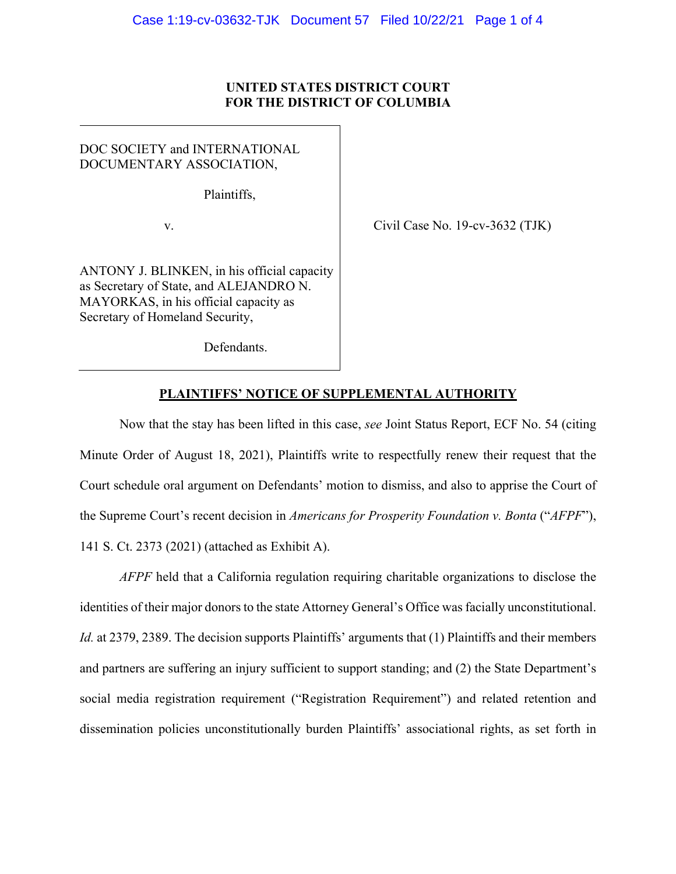## **UNITED STATES DISTRICT COURT FOR THE DISTRICT OF COLUMBIA**

DOC SOCIETY and INTERNATIONAL DOCUMENTARY ASSOCIATION,

Plaintiffs,

v.

ANTONY J. BLINKEN, in his official capacity as Secretary of State, and ALEJANDRO N. MAYORKAS, in his official capacity as Secretary of Homeland Security,

Civil Case No. 19-cv-3632 (TJK)

Defendants.

# **PLAINTIFFS' NOTICE OF SUPPLEMENTAL AUTHORITY**

Now that the stay has been lifted in this case, *see* Joint Status Report, ECF No. 54 (citing Minute Order of August 18, 2021), Plaintiffs write to respectfully renew their request that the Court schedule oral argument on Defendants' motion to dismiss, and also to apprise the Court of the Supreme Court's recent decision in *Americans for Prosperity Foundation v. Bonta* ("*AFPF*"), 141 S. Ct. 2373 (2021) (attached as Exhibit A).

*AFPF* held that a California regulation requiring charitable organizations to disclose the identities of their major donors to the state Attorney General's Office was facially unconstitutional. *Id.* at 2379, 2389. The decision supports Plaintiffs' arguments that (1) Plaintiffs and their members and partners are suffering an injury sufficient to support standing; and (2) the State Department's social media registration requirement ("Registration Requirement") and related retention and dissemination policies unconstitutionally burden Plaintiffs' associational rights, as set forth in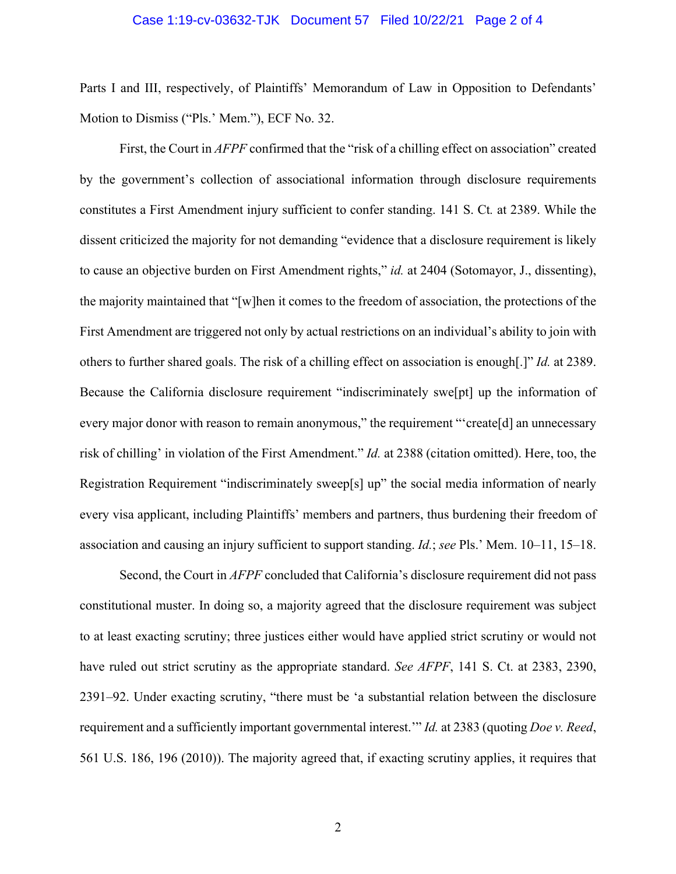#### Case 1:19-cv-03632-TJK Document 57 Filed 10/22/21 Page 2 of 4

Parts I and III, respectively, of Plaintiffs' Memorandum of Law in Opposition to Defendants' Motion to Dismiss ("Pls.' Mem."), ECF No. 32.

First, the Court in *AFPF* confirmed that the "risk of a chilling effect on association" created by the government's collection of associational information through disclosure requirements constitutes a First Amendment injury sufficient to confer standing. 141 S. Ct*.* at 2389. While the dissent criticized the majority for not demanding "evidence that a disclosure requirement is likely to cause an objective burden on First Amendment rights," *id.* at 2404 (Sotomayor, J., dissenting), the majority maintained that "[w]hen it comes to the freedom of association, the protections of the First Amendment are triggered not only by actual restrictions on an individual's ability to join with others to further shared goals. The risk of a chilling effect on association is enough[.]" *Id.* at 2389. Because the California disclosure requirement "indiscriminately swe[pt] up the information of every major donor with reason to remain anonymous," the requirement "'create[d] an unnecessary risk of chilling' in violation of the First Amendment." *Id.* at 2388 (citation omitted). Here, too, the Registration Requirement "indiscriminately sweep[s] up" the social media information of nearly every visa applicant, including Plaintiffs' members and partners, thus burdening their freedom of association and causing an injury sufficient to support standing. *Id.*; *see* Pls.' Mem. 10–11, 15–18.

Second, the Court in *AFPF* concluded that California's disclosure requirement did not pass constitutional muster. In doing so, a majority agreed that the disclosure requirement was subject to at least exacting scrutiny; three justices either would have applied strict scrutiny or would not have ruled out strict scrutiny as the appropriate standard. *See AFPF*, 141 S. Ct. at 2383, 2390, 2391–92. Under exacting scrutiny, "there must be 'a substantial relation between the disclosure requirement and a sufficiently important governmental interest.'" *Id.* at 2383 (quoting *Doe v. Reed*, 561 U.S. 186, 196 (2010)). The majority agreed that, if exacting scrutiny applies, it requires that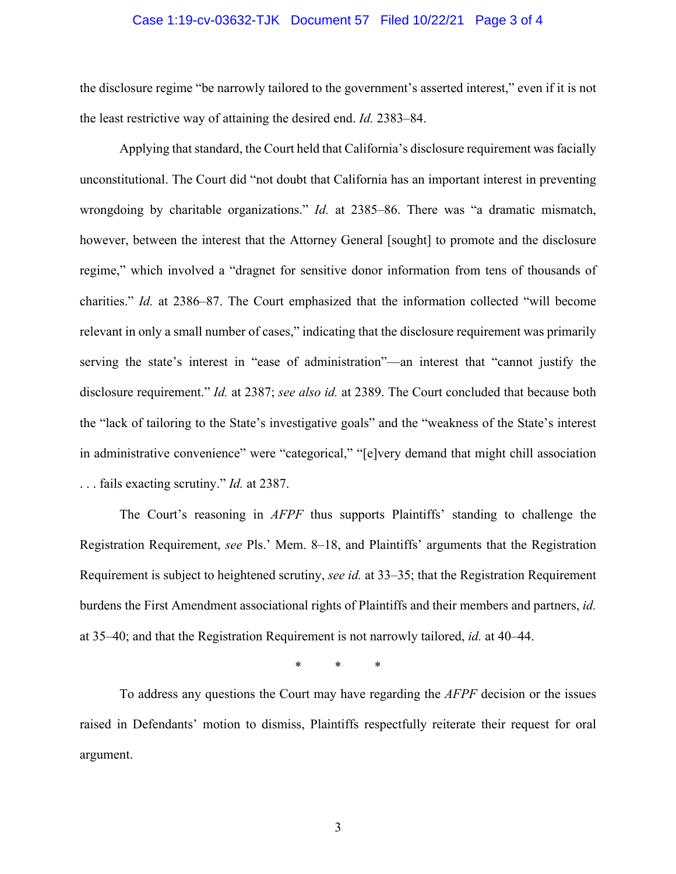#### Case 1:19-cv-03632-TJK Document 57 Filed 10/22/21 Page 3 of 4

the disclosure regime "be narrowly tailored to the government's asserted interest," even if it is not the least restrictive way of attaining the desired end. *Id.* 2383–84.

Applying that standard, the Court held that California's disclosure requirement was facially unconstitutional. The Court did "not doubt that California has an important interest in preventing wrongdoing by charitable organizations." *Id.* at 2385–86. There was "a dramatic mismatch, however, between the interest that the Attorney General [sought] to promote and the disclosure regime," which involved a "dragnet for sensitive donor information from tens of thousands of charities." *Id.* at 2386–87. The Court emphasized that the information collected "will become relevant in only a small number of cases," indicating that the disclosure requirement was primarily serving the state's interest in "ease of administration"—an interest that "cannot justify the disclosure requirement." *Id.* at 2387; *see also id.* at 2389. The Court concluded that because both the "lack of tailoring to the State's investigative goals" and the "weakness of the State's interest in administrative convenience" were "categorical," "[e]very demand that might chill association . . . fails exacting scrutiny." *Id.* at 2387.

The Court's reasoning in *AFPF* thus supports Plaintiffs' standing to challenge the Registration Requirement, *see* Pls.' Mem. 8–18, and Plaintiffs' arguments that the Registration Requirement is subject to heightened scrutiny, *see id.* at 33–35; that the Registration Requirement burdens the First Amendment associational rights of Plaintiffs and their members and partners, *id.* at 35–40; and that the Registration Requirement is not narrowly tailored, *id.* at 40–44.

\* \* \*

To address any questions the Court may have regarding the *AFPF* decision or the issues raised in Defendants' motion to dismiss, Plaintiffs respectfully reiterate their request for oral argument.